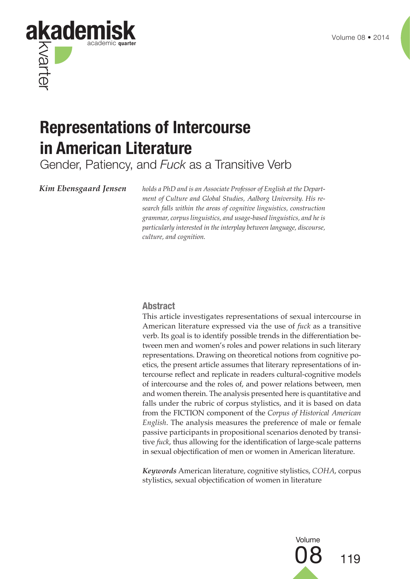

# **Representations of Intercourse in American Literature**

Gender, Patiency, and *Fuck* as a Transitive Verb

*Kim Ebensgaard Jensen holds a PhD and is an Associate Professor of English at the Department of Culture and Global Studies, Aalborg University. His research falls within the areas of cognitive linguistics, construction grammar, corpus linguistics, and usage-based linguistics, and he is particularly interested in the interplay between language, discourse, culture, and cognition.*

#### **Abstract**

This article investigates representations of sexual intercourse in American literature expressed via the use of *fuck* as a transitive verb. Its goal is to identify possible trends in the differentiation between men and women's roles and power relations in such literary representations. Drawing on theoretical notions from cognitive poetics, the present article assumes that literary representations of intercourse reflect and replicate in readers cultural-cognitive models of intercourse and the roles of, and power relations between, men and women therein. The analysis presented here is quantitative and falls under the rubric of corpus stylistics, and it is based on data from the FICTION component of the *Corpus of Historical American English*. The analysis measures the preference of male or female passive participants in propositional scenarios denoted by transitive *fuck*, thus allowing for the identification of large-scale patterns in sexual objectification of men or women in American literature.

*Keywords* American literature, cognitive stylistics, *COHA*, corpus stylistics, sexual objectification of women in literature

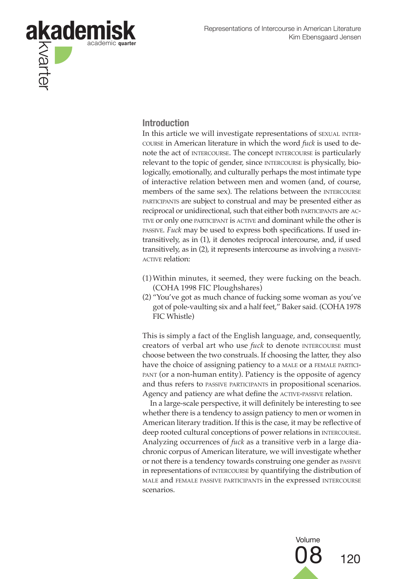

### **Introduction**

In this article we will investigate representations of sexual intercourse in American literature in which the word *fuck* is used to denote the act of intercourse. The concept intercourse is particularly relevant to the topic of gender, since INTERCOURSE is physically, biologically, emotionally, and culturally perhaps the most intimate type of interactive relation between men and women (and, of course, members of the same sex). The relations between the INTERCOURSE participants are subject to construal and may be presented either as reciprocal or unidirectional, such that either both participants are active or only one participant is active and dominant while the other is passive. *Fuck* may be used to express both specifications. If used intransitively, as in (1), it denotes reciprocal intercourse, and, if used transitively, as in (2), it represents intercourse as involving a passive-**ACTIVE relation:** 

- (1) Within minutes, it seemed, they were fucking on the beach. (COHA 1998 FIC Ploughshares)
- (2) "You've got as much chance of fucking some woman as you've got of pole-vaulting six and a half feet," Baker said. (COHA 1978 FIC Whistle)

This is simply a fact of the English language, and, consequently, creators of verbal art who use *fuck* to denote INTERCOURSE must choose between the two construals. If choosing the latter, they also have the choice of assigning patiency to a MALE OT a FEMALE PARTICI-PANT (or a non-human entity). Patiency is the opposite of agency and thus refers to passive participants in propositional scenarios. Agency and patiency are what define the ACTIVE-PASSIVE relation.

In a large-scale perspective, it will definitely be interesting to see whether there is a tendency to assign patiency to men or women in American literary tradition. If this is the case, it may be reflective of deep rooted cultural conceptions of power relations in intercourse. Analyzing occurrences of *fuck* as a transitive verb in a large diachronic corpus of American literature, we will investigate whether or not there is a tendency towards construing one gender as passive in representations of INTERCOURSE by quantifying the distribution of male and female passive participants in the expressed intercourse scenarios.

> Volume 120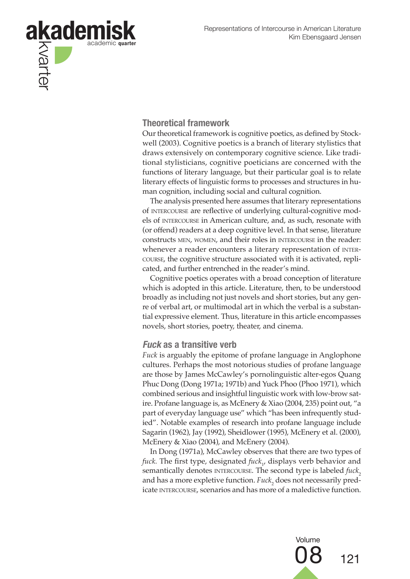

#### **Theoretical framework**

Our theoretical framework is cognitive poetics, as defined by Stockwell (2003). Cognitive poetics is a branch of literary stylistics that draws extensively on contemporary cognitive science. Like traditional stylisticians, cognitive poeticians are concerned with the functions of literary language, but their particular goal is to relate literary effects of linguistic forms to processes and structures in human cognition, including social and cultural cognition.

The analysis presented here assumes that literary representations of intercourse are reflective of underlying cultural-cognitive models of intercourse in American culture, and, as such, resonate with (or offend) readers at a deep cognitive level. In that sense, literature constructs men, women, and their roles in intercourse in the reader: whenever a reader encounters a literary representation of INTERcourse, the cognitive structure associated with it is activated, replicated, and further entrenched in the reader's mind.

Cognitive poetics operates with a broad conception of literature which is adopted in this article. Literature, then, to be understood broadly as including not just novels and short stories, but any genre of verbal art, or multimodal art in which the verbal is a substantial expressive element. Thus, literature in this article encompasses novels, short stories, poetry, theater, and cinema.

#### **Fuck as a transitive verb**

*Fuck* is arguably the epitome of profane language in Anglophone cultures. Perhaps the most notorious studies of profane language are those by James McCawley's pornolinguistic alter-egos Quang Phuc Dong (Dong 1971a; 1971b) and Yuck Phoo (Phoo 1971), which combined serious and insightful linguistic work with low-brow satire. Profane language is, as McEnery & Xiao (2004, 235) point out, "a part of everyday language use" which "has been infrequently studied". Notable examples of research into profane language include Sagarin (1962), Jay (1992), Sheidlower (1995), McEnery et al. (2000), McEnery & Xiao (2004), and McEnery (2004).

In Dong (1971a), McCawley observes that there are two types of *fuck.* The first type, designated *fuck*<sub>1</sub>, displays verb behavior and semantically denotes INTERCOURSE. The second type is labeled *fuck*, and has a more expletive function. *Fuck*<sub>2</sub> does not necessarily predicate INTERCOURSE, scenarios and has more of a maledictive function.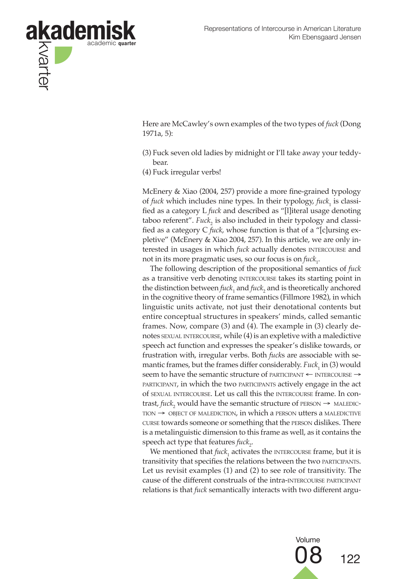

Here are McCawley's own examples of the two types of *fuck* (Dong 1971a, 5):

- (3) Fuck seven old ladies by midnight or I'll take away your teddybear.
- (4) Fuck irregular verbs!

McEnery & Xiao (2004, 257) provide a more fine-grained typology of *fuck* which includes nine types. In their typology, *fuck*<sub>1</sub> is classified as a category L *fuck* and described as "[l]iteral usage denoting taboo referent". *Fuck*, is also included in their typology and classified as a category C *fuck*, whose function is that of a "[c]ursing expletive" (McEnery & Xiao 2004, 257). In this article, we are only interested in usages in which *fuck* actually denotes **INTERCOURSE** and not in its more pragmatic uses*,* so our focus is on *fuck*<sub>1</sub>.

The following description of the propositional semantics of *fuck* as a transitive verb denoting INTERCOURSE takes its starting point in the distinction between  $\text{fuck}_1$  and  $\text{fuck}_2$  and is theoretically anchored in the cognitive theory of frame semantics (Fillmore 1982), in which linguistic units activate, not just their denotational contents but entire conceptual structures in speakers' minds, called semantic frames. Now, compare (3) and (4). The example in (3) clearly denotes sexual intercourse, while (4) is an expletive with a maledictive speech act function and expresses the speaker's dislike towards, or frustration with, irregular verbs. Both *fuck*s are associable with semantic frames, but the frames differ considerably. *Fuck*<sub>1</sub> in (3) would seem to have the semantic structure of PARTICIPANT ← INTERCOURSE → participant, in which the two participants actively engage in the act of sexual intercourse. Let us call this the intercourse frame. In contrast*, fuck*<sub>2</sub> would have the semantic structure of  $PERSON \rightarrow MALEDIC TION \rightarrow$  OBJECT OF MALEDICTION, in which a PERSON utters a MALEDICTIVE curse towards someone or something that the person dislikes. There is a metalinguistic dimension to this frame as well, as it contains the speech act type that features *fuck*<sub>2</sub>.

We mentioned that  $\mathit{fuck}_1$  activates the  $\mathit{INTERCs frame, but it is$ transitivity that specifies the relations between the two participants. Let us revisit examples (1) and (2) to see role of transitivity. The cause of the different construals of the intra-intercourse participant relations is that *fuck* semantically interacts with two different argu-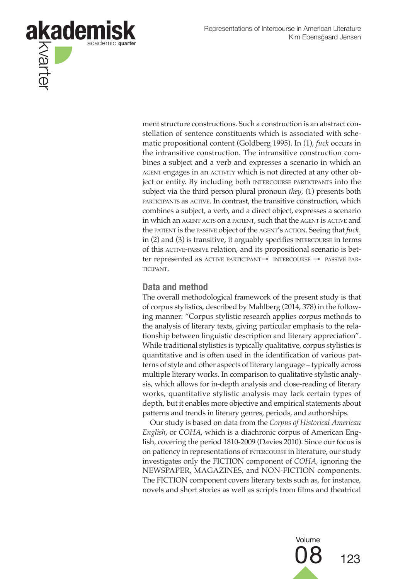

ment structure constructions. Such a construction is an abstract constellation of sentence constituents which is associated with schematic propositional content (Goldberg 1995). In (1), *fuck* occurs in the intransitive construction. The intransitive construction combines a subject and a verb and expresses a scenario in which an AGENT engages in an ACTIVITY which is not directed at any other object or entity. By including both intercourse participants into the subject via the third person plural pronoun *they*, (1) presents both participants as active. In contrast, the transitive construction, which combines a subject, a verb, and a direct object, expresses a scenario in which an AGENT ACTS on a PATIENT, such that the AGENT is ACTIVE and the patient is the passive object of the agent's action. Seeing that *fuck*, in  $(2)$  and  $(3)$  is transitive, it arguably specifies  $M$  is  $R$  is terms of this active-passive relation, and its propositional scenario is better represented as active participant→ intercourse → passive participant.

#### **Data and method**

The overall methodological framework of the present study is that of corpus stylistics, described by Mahlberg (2014, 378) in the following manner: "Corpus stylistic research applies corpus methods to the analysis of literary texts, giving particular emphasis to the relationship between linguistic description and literary appreciation". While traditional stylistics is typically qualitative, corpus stylistics is quantitative and is often used in the identification of various patterns of style and other aspects of literary language – typically across multiple literary works. In comparison to qualitative stylistic analysis, which allows for in-depth analysis and close-reading of literary works, quantitative stylistic analysis may lack certain types of depth, but it enables more objective and empirical statements about patterns and trends in literary genres, periods, and authorships.

Our study is based on data from the *Corpus of Historical American English*, or *COHA*, which is a diachronic corpus of American English, covering the period 1810-2009 (Davies 2010). Since our focus is on patiency in representations of intercourse in literature, our study investigates only the FICTION component of *COHA*, ignoring the NEWSPAPER, MAGAZINES, and NON-FICTION components. The FICTION component covers literary texts such as, for instance, novels and short stories as well as scripts from films and theatrical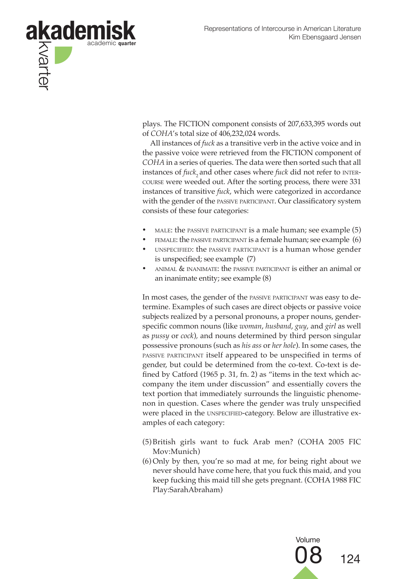

plays. The FICTION component consists of 207,633,395 words out of *COHA*'s total size of 406,232,024 words.

All instances of *fuck* as a transitive verb in the active voice and in the passive voice were retrieved from the FICTION component of *COHA* in a series of queries. The data were then sorted such that all instances of *fuck*, and other cases where *fuck* did not refer to INTERcourse were weeded out. After the sorting process, there were 331 instances of transitive *fuck*, which were categorized in accordance with the gender of the passive participant. Our classificatory system consists of these four categories:

- male: the passive participant is a male human; see example (5)
- FEMALE: the PASSIVE PARTICIPANT is a female human; see example (6)
- unspecified: the passive participant is a human whose gender is unspecified; see example (7)
- animal & inanimate: the passive participant is either an animal or an inanimate entity; see example (8)

In most cases, the gender of the passive participant was easy to determine. Examples of such cases are direct objects or passive voice subjects realized by a personal pronouns, a proper nouns, genderspecific common nouns (like *woman*, *husband*, *guy*, and *girl* as well as *pussy* or *cock*)*,* and nouns determined by third person singular possessive pronouns (such as *his ass* or *her hole*). In some cases, the passive participant itself appeared to be unspecified in terms of gender, but could be determined from the co-text. Co-text is defined by Catford (1965 p. 31, fn. 2) as "items in the text which accompany the item under discussion" and essentially covers the text portion that immediately surrounds the linguistic phenomenon in question. Cases where the gender was truly unspecified were placed in the UNSPECIFIED-category. Below are illustrative examples of each category:

- (5) British girls want to fuck Arab men? (COHA 2005 FIC Mov:Munich)
- (6) Only by then, you're so mad at me, for being right about we never should have come here, that you fuck this maid, and you keep fucking this maid till she gets pregnant. (COHA 1988 FIC Play:SarahAbraham)

Volume

08 <sup>124</sup>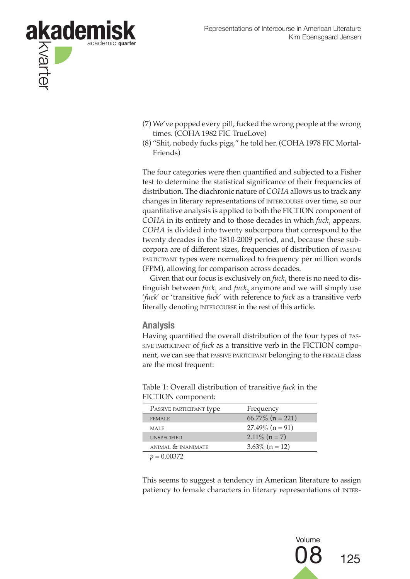

- (7) We've popped every pill, fucked the wrong people at the wrong times. (COHA 1982 FIC TrueLove)
- (8) "Shit, nobody fucks pigs," he told her. (COHA 1978 FIC Mortal-Friends)

The four categories were then quantified and subjected to a Fisher test to determine the statistical significance of their frequencies of distribution. The diachronic nature of *COHA* allows us to track any changes in literary representations of intercourse over time, so our quantitative analysis is applied to both the FICTION component of  $COHA$  in its entirety and to those decades in which  $\textit{fuck}_1$  appears. *COHA* is divided into twenty subcorpora that correspond to the twenty decades in the 1810-2009 period, and, because these subcorpora are of different sizes, frequencies of distribution of passive participant types were normalized to frequency per million words (FPM), allowing for comparison across decades.

Given that our focus is exclusively on  $\textit{fuck}_1$  there is no need to distinguish between  $\text{fuck}_1$  and  $\text{fuck}_2$  anymore and we will simply use '*fuck*' or 'transitive *fuck*' with reference to *fuck* as a transitive verb literally denoting INTERCOURSE in the rest of this article.

#### **Analysis**

Having quantified the overall distribution of the four types of passive participant of *fuck* as a transitive verb in the FICTION component, we can see that passive participant belonging to the female class are the most frequent:

| TICTION COMPONENT.                 |                     |
|------------------------------------|---------------------|
| PASSIVE PARTICIPANT type           | Frequency           |
| <b>FEMALE</b>                      | 66.77\% $(n = 221)$ |
| <b>MALE</b>                        | $27.49\%$ (n = 91)  |
| <b>UNSPECIFIED</b>                 | $2.11\%$ (n = 7)    |
| ANIMAL & INANIMATE                 | $3.63\%$ (n = 12)   |
| $\sim$ $\sim$ $\sim$ $\sim$ $\sim$ |                     |

Table 1: Overall distribution of transitive *fuck* in the FICTION component:

 $p = 0.00372$ 

This seems to suggest a tendency in American literature to assign patiency to female characters in literary representations of inter-

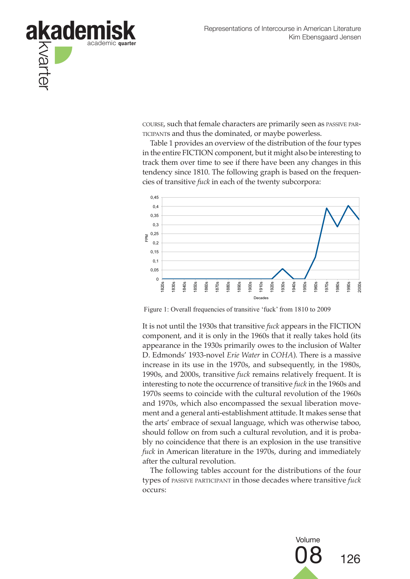

course, such that female characters are primarily seen as passive participants and thus the dominated, or maybe powerless.

Table 1 provides an overview of the distribution of the four types in the entire FICTION component, but it might also be interesting to track them over time to see if there have been any changes in this tendency since 1810. The following graph is based on the frequencies of transitive *fuck* in each of the twenty subcorpora:



Figure 1: Overall frequencies of transitive 'fuck' from 1810 to 2009

It is not until the 1930s that transitive *fuck* appears in the FICTION component, and it is only in the 1960s that it really takes hold (its appearance in the 1930s primarily owes to the inclusion of Walter D. Edmonds' 1933-novel *Erie Water* in *COHA*). There is a massive increase in its use in the 1970s, and subsequently, in the 1980s, 1990s, and 2000s, transitive *fuck* remains relatively frequent. It is interesting to note the occurrence of transitive *fuck* in the 1960s and 1970s seems to coincide with the cultural revolution of the 1960s and 1970s, which also encompassed the sexual liberation movement and a general anti-establishment attitude. It makes sense that the arts' embrace of sexual language, which was otherwise taboo, should follow on from such a cultural revolution, and it is probably no coincidence that there is an explosion in the use transitive *fuck* in American literature in the 1970s, during and immediately after the cultural revolution.

The following tables account for the distributions of the four types of passive participant in those decades where transitive *fuck* occurs:

> Volume 126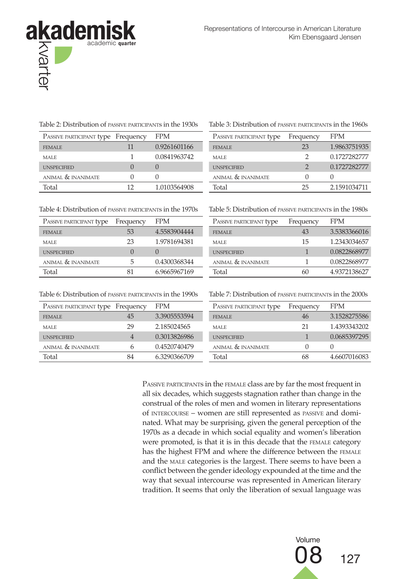

Table 2: Distribution of passive participants in the 1930s Table 3: Distribution of passive participants in the 1960s

| PASSIVE PARTICIPANT type Frequency |    | <b>FPM</b>   | PASSIVE PARTICIPANT type | Frequency | <b>FPM</b>   |
|------------------------------------|----|--------------|--------------------------|-----------|--------------|
| <b>FEMALE</b>                      |    | 0.9261601166 | <b>FEMALE</b>            | 23        | 1.9863751935 |
| <b>MALE</b>                        |    | 0.0841963742 | <b>MALE</b>              |           | 0.1727282777 |
| <b>UNSPECIFIED</b>                 |    |              | <b>UNSPECIFIED</b>       |           | 0.1727282777 |
| ANIMAL & INANIMATE                 |    |              | ANIMAL & INANIMATE       |           |              |
| Total                              | 12 | 1.0103564908 | Total                    | 25        | 2.1591034711 |

| PASSIVE PARTICIPANT type | Frequency | <b>FPM</b>   |
|--------------------------|-----------|--------------|
| <b>FEMALE</b>            | 23        | 1.9863751935 |
| MALE                     |           | 0.1727282777 |
| <b>UNSPECIFIED</b>       | 2         | 0.1727282777 |
| ANIMAL & INANIMATE       |           |              |
| Total                    | 25        | 2.1591034711 |

Table 4: Distribution of passive participants in the 1970s Table 5: Distribution of passive participants in the 1980s

| PASSIVE PARTICIPANT type | Frequency | <b>FPM</b>   | PASSIVE PARTICIPANT type | Frequency | <b>FPM</b> |
|--------------------------|-----------|--------------|--------------------------|-----------|------------|
| <b>FEMALE</b>            | 53        | 4.5583904444 | <b>FEMALE</b>            | 43        | 3.538      |
| <b>MALE</b>              | 23        | 1.9781694381 | <b>MALE</b>              | 15        | 1.234      |
| <b>UNSPECIFIED</b>       |           |              | <b>UNSPECIFIED</b>       |           | 0.082      |
| ANIMAL & INANIMATE       | 5         | 0.4300368344 | ANIMAL & INANIMATE       |           | 0.082      |
| Total                    | 81        | 6.9665967169 | Total                    | 60        | 4.937      |

| PASSIVE PARTICIPANT type | Frequency        | <b>FPM</b>   | PASSIVE PARTICIPANT type | Frequency | <b>FPM</b>   |
|--------------------------|------------------|--------------|--------------------------|-----------|--------------|
| FEMALE                   | 53               | 4.5583904444 | <b>FEMALE</b>            | 43        | 3.5383366016 |
| MALE                     | 23               | 1.9781694381 | <b>MALE</b>              | 15        | 1.2343034657 |
| <b>UNSPECIFIED</b>       | $\left( \right)$ |              | <b>UNSPECIFIED</b>       |           | 0.0822868977 |
| ANIMAL & INANIMATE       | 5                | 0.4300368344 | ANIMAL & INANIMATE       |           | 0.0822868977 |
| Total                    |                  | 6.9665967169 | Total                    | 60        | 4.9372138627 |

Table 6: Distribution of passive participants in the 1990s Table 7: Distribution of passive participants in the 2000s

| PASSIVE PARTICIPANT type Frequency |                | <b>FPM</b>   | PASSIVE PARTICIPANT type | Frequency | <b>FPM</b>   |
|------------------------------------|----------------|--------------|--------------------------|-----------|--------------|
| <b>FEMALE</b>                      | 45             | 3.3905553594 | <b>FEMALE</b>            | 46        | 3.1528275586 |
| MALE                               | 29             | 2.185024565  | <b>MALE</b>              | 21        | 1.4393343202 |
| <b>UNSPECIFIED</b>                 | $\overline{4}$ | 0.3013826986 | <b>UNSPECIFIED</b>       |           | 0.0685397295 |
| ANIMAL & INANIMATE                 | 6              | 0.4520740479 | ANIMAL & INANIMATE       | $\Omega$  |              |
| Total                              | 84             | 6.3290366709 | Total                    | 68        | 4.6607016083 |
|                                    |                |              |                          |           |              |

PASSIVE PARTICIPANTS in the FEMALE class are by far the most frequent in all six decades, which suggests stagnation rather than change in the construal of the roles of men and women in literary representations of intercourse – women are still represented as passive and dominated. What may be surprising, given the general perception of the 1970s as a decade in which social equality and women's liberation were promoted, is that it is in this decade that the female category has the highest FPM and where the difference between the FEMALE and the male categories is the largest. There seems to have been a conflict between the gender ideology expounded at the time and the way that sexual intercourse was represented in American literary tradition. It seems that only the liberation of sexual language was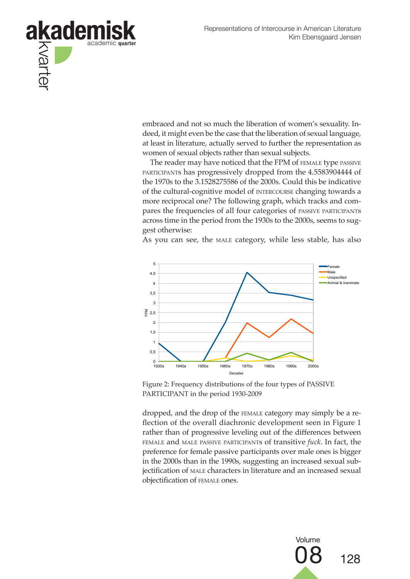

embraced and not so much the liberation of women's sexuality. Indeed, it might even be the case that the liberation of sexual language, at least in literature, actually served to further the representation as women of sexual objects rather than sexual subjects.

The reader may have noticed that the FPM of FEMALE type PASSIVE participants has progressively dropped from the 4.5583904444 of the 1970s to the 3.1528275586 of the 2000s. Could this be indicative of the cultural-cognitive model of intercourse changing towards a more reciprocal one? The following graph, which tracks and compares the frequencies of all four categories of passive participants across time in the period from the 1930s to the 2000s, seems to suggest otherwise:

As you can see, the MALE category, while less stable, has also



Figure 2: Frequency distributions of the four types of PASSIVE PARTICIPANT in the period 1930-2009

dropped, and the drop of the female category may simply be a reflection of the overall diachronic development seen in Figure 1 rather than of progressive leveling out of the differences between female and male passive participants of transitive *fuck*. In fact, the preference for female passive participants over male ones is bigger in the 2000s than in the 1990s, suggesting an increased sexual subjectification of male characters in literature and an increased sexual objectification of female ones.

> Volume 128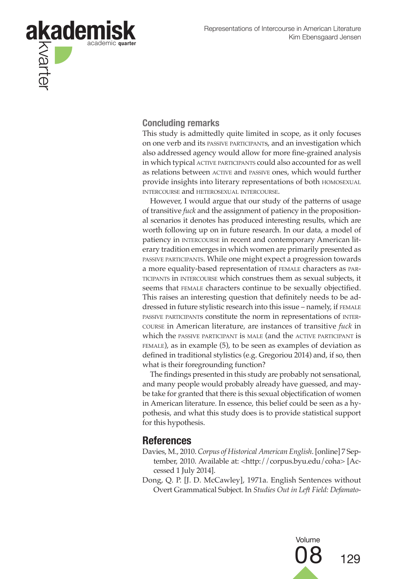

## **Concluding remarks**

This study is admittedly quite limited in scope, as it only focuses on one verb and its passive participants, and an investigation which also addressed agency would allow for more fine-grained analysis in which typical ACTIVE PARTICIPANTS could also accounted for as well as relations between ACTIVE and PASSIVE ones, which would further provide insights into literary representations of both homosexual intercourse and heterosexual intercourse.

However, I would argue that our study of the patterns of usage of transitive *fuck* and the assignment of patiency in the propositional scenarios it denotes has produced interesting results, which are worth following up on in future research. In our data, a model of patiency in INTERCOURSE in recent and contemporary American literary tradition emerges in which women are primarily presented as passive participants. While one might expect a progression towards a more equality-based representation of female characters as participants in intercourse which construes them as sexual subjects, it seems that female characters continue to be sexually objectified. This raises an interesting question that definitely needs to be addressed in future stylistic research into this issue – namely, if FEMALE passive participants constitute the norm in representations of intercourse in American literature, are instances of transitive *fuck* in which the passive participant is male (and the active participant is female), as in example (5), to be seen as examples of deviation as defined in traditional stylistics (e.g. Gregoriou 2014) and, if so, then what is their foregrounding function?

The findings presented in this study are probably not sensational, and many people would probably already have guessed, and maybe take for granted that there is this sexual objectification of women in American literature. In essence, this belief could be seen as a hypothesis, and what this study does is to provide statistical support for this hypothesis.

# **References**

- Davies, M., 2010. *Corpus of Historical American English*. [online] 7 September, 2010. Available at: <http://corpus.byu.edu/coha> [Accessed 1 July 2014].
- Dong, Q. P. [J. D. McCawley], 1971a. English Sentences without Overt Grammatical Subject. In *Studies Out in Left Field: Defamato-*